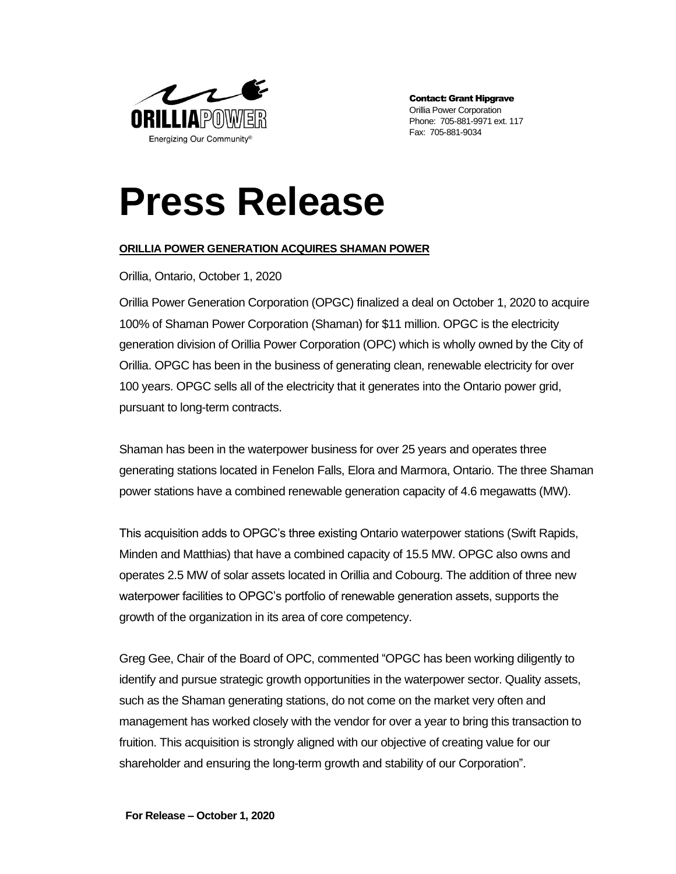

Contact: Grant Hipgrave Orillia Power Corporation Phone: 705-881-9971 ext. 117 Fax: 705-881-9034

## **Press Release**

## **ORILLIA POWER GENERATION ACQUIRES SHAMAN POWER**

Orillia, Ontario, October 1, 2020

Orillia Power Generation Corporation (OPGC) finalized a deal on October 1, 2020 to acquire 100% of Shaman Power Corporation (Shaman) for \$11 million. OPGC is the electricity generation division of Orillia Power Corporation (OPC) which is wholly owned by the City of Orillia. OPGC has been in the business of generating clean, renewable electricity for over 100 years. OPGC sells all of the electricity that it generates into the Ontario power grid, pursuant to long-term contracts.

Shaman has been in the waterpower business for over 25 years and operates three generating stations located in Fenelon Falls, Elora and Marmora, Ontario. The three Shaman power stations have a combined renewable generation capacity of 4.6 megawatts (MW).

This acquisition adds to OPGC's three existing Ontario waterpower stations (Swift Rapids, Minden and Matthias) that have a combined capacity of 15.5 MW. OPGC also owns and operates 2.5 MW of solar assets located in Orillia and Cobourg. The addition of three new waterpower facilities to OPGC's portfolio of renewable generation assets, supports the growth of the organization in its area of core competency.

Greg Gee, Chair of the Board of OPC, commented "OPGC has been working diligently to identify and pursue strategic growth opportunities in the waterpower sector. Quality assets, such as the Shaman generating stations, do not come on the market very often and management has worked closely with the vendor for over a year to bring this transaction to fruition. This acquisition is strongly aligned with our objective of creating value for our shareholder and ensuring the long-term growth and stability of our Corporation".